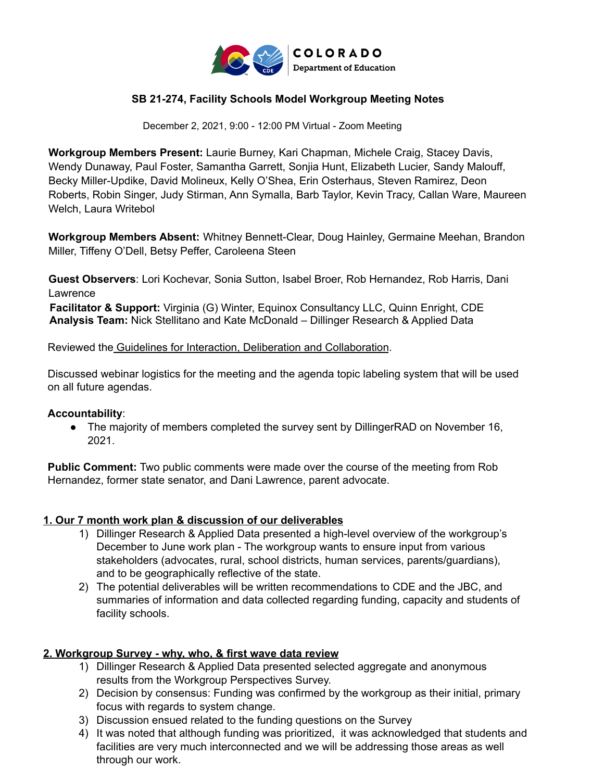

## **SB 21-274, Facility Schools Model Workgroup Meeting Notes**

December 2, 2021, 9:00 - 12:00 PM Virtual - Zoom Meeting

**Workgroup Members Present:** Laurie Burney, Kari Chapman, Michele Craig, Stacey Davis, Wendy Dunaway, Paul Foster, Samantha Garrett, Sonjia Hunt, Elizabeth Lucier, Sandy Malouff, Becky Miller-Updike, David Molineux, Kelly O'Shea, Erin Osterhaus, Steven Ramirez, Deon Roberts, Robin Singer, Judy Stirman, Ann Symalla, Barb Taylor, Kevin Tracy, Callan Ware, Maureen Welch, Laura Writebol

**Workgroup Members Absent:** Whitney Bennett-Clear, Doug Hainley, Germaine Meehan, Brandon Miller, Tiffeny O'Dell, Betsy Peffer, Caroleena Steen

**Guest Observers**: Lori Kochevar, Sonia Sutton, Isabel Broer, Rob Hernandez, Rob Harris, Dani Lawrence

**Facilitator & Support:** Virginia (G) Winter, Equinox Consultancy LLC, Quinn Enright, CDE **Analysis Team:** Nick Stellitano and Kate McDonald – Dillinger Research & Applied Data

Reviewed the Guidelines for Interaction, Deliberation and Collaboration.

Discussed webinar logistics for the meeting and the agenda topic labeling system that will be used on all future agendas.

#### **Accountability**:

● The majority of members completed the survey sent by DillingerRAD on November 16, 2021.

**Public Comment:** Two public comments were made over the course of the meeting from Rob Hernandez, former state senator, and Dani Lawrence, parent advocate.

#### **1. Our 7 month work plan & discussion of our deliverables**

- 1) Dillinger Research & Applied Data presented a high-level overview of the workgroup's December to June work plan - The workgroup wants to ensure input from various stakeholders (advocates, rural, school districts, human services, parents/guardians), and to be geographically reflective of the state.
- 2) The potential deliverables will be written recommendations to CDE and the JBC, and summaries of information and data collected regarding funding, capacity and students of facility schools.

#### **2. Workgroup Survey - why, who, & first wave data review**

- 1) Dillinger Research & Applied Data presented selected aggregate and anonymous results from the Workgroup Perspectives Survey.
- 2) Decision by consensus: Funding was confirmed by the workgroup as their initial, primary focus with regards to system change.
- 3) Discussion ensued related to the funding questions on the Survey
- 4) It was noted that although funding was prioritized, it was acknowledged that students and facilities are very much interconnected and we will be addressing those areas as well through our work.